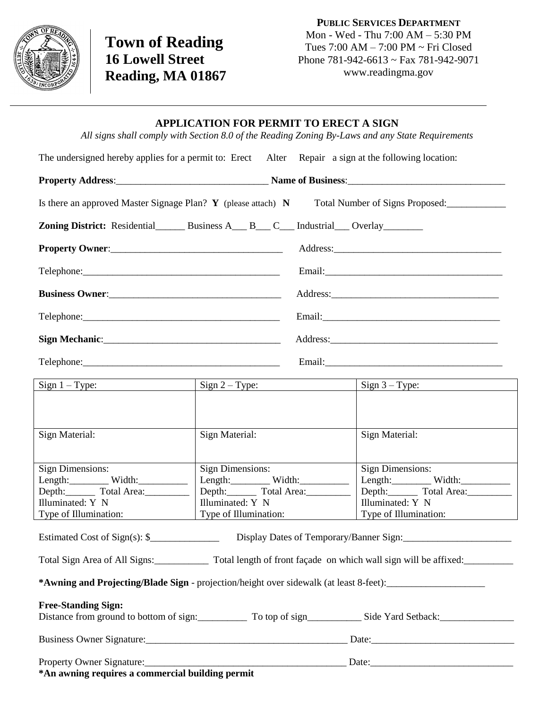

**Town of Reading 16 Lowell Street Reading, MA 01867**

**PUBLIC SERVICES DEPARTMENT** Mon - Wed - Thu 7:00 AM – 5:30 PM Tues 7:00 AM – 7:00 PM ~ Fri Closed Phone 781-942-6613 ~ Fax 781-942-9071 www.readingma.gov

## **APPLICATION FOR PERMIT TO ERECT A SIGN**

*All signs shall comply with Section 8.0 of the Reading Zoning By-Laws and any State Requirements*

| The undersigned hereby applies for a permit to: Erect Alter<br>Repair a sign at the following location:                                                               |                         |  |                         |
|-----------------------------------------------------------------------------------------------------------------------------------------------------------------------|-------------------------|--|-------------------------|
|                                                                                                                                                                       |                         |  |                         |
| Is there an approved Master Signage Plan? $\mathbf{Y}$ (please attach) $\mathbf{N}$<br>Total Number of Signs Proposed:                                                |                         |  |                         |
| <b>Zoning District:</b> Residential Business A B C Industrial Overlay                                                                                                 |                         |  |                         |
| Property Owner:                                                                                                                                                       |                         |  |                         |
|                                                                                                                                                                       |                         |  |                         |
|                                                                                                                                                                       |                         |  |                         |
|                                                                                                                                                                       |                         |  |                         |
|                                                                                                                                                                       |                         |  |                         |
|                                                                                                                                                                       |                         |  |                         |
| $Sign 1 - Type:$                                                                                                                                                      | $Sign 2 - Type:$        |  | $Sign 3 - Type:$        |
|                                                                                                                                                                       |                         |  |                         |
| Sign Material:                                                                                                                                                        | Sign Material:          |  | Sign Material:          |
|                                                                                                                                                                       |                         |  |                         |
| <b>Sign Dimensions:</b>                                                                                                                                               | <b>Sign Dimensions:</b> |  | <b>Sign Dimensions:</b> |
| $Length:$ Width:                                                                                                                                                      | $Length:$ Width:        |  | $Length:$ Width:        |
| Depth: Total Area:                                                                                                                                                    | Depth: Total Area:      |  |                         |
| Illuminated: Y N                                                                                                                                                      | Illuminated: Y N        |  | Illuminated: Y N        |
| Type of Illumination:                                                                                                                                                 | Type of Illumination:   |  | Type of Illumination:   |
| Estimated Cost of Sign(s): $\frac{1}{2}$<br>Display Dates of Temporary/Banner Sign:                                                                                   |                         |  |                         |
| Total Sign Area of All Signs:<br>Total length of front façade on which wall sign will be affixed:<br>Total length of front façade on which wall sign will be affixed: |                         |  |                         |
| *Awning and Projecting/Blade Sign - projection/height over sidewalk (at least 8-feet):                                                                                |                         |  |                         |
| <b>Free-Standing Sign:</b><br>Distance from ground to bottom of sign: To top of sign Side Yard Setback:                                                               |                         |  |                         |
|                                                                                                                                                                       |                         |  |                         |
|                                                                                                                                                                       |                         |  |                         |
|                                                                                                                                                                       |                         |  |                         |
| *An awning requires a commercial building permit                                                                                                                      |                         |  |                         |